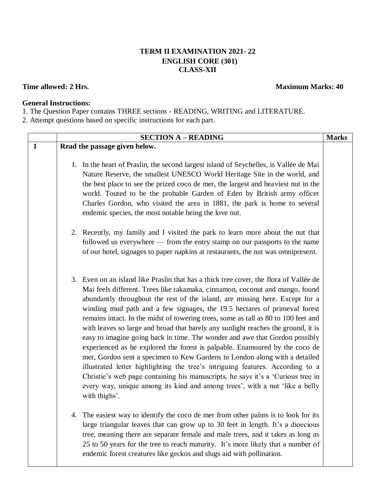## **TERM II EXAMINATION 2021- 22 ENGLISH CORE (301) CLASS-XII**

## **Time allowed:** 2 Hrs. **Maximum Marks:** 40

## **General Instructions:**

1. The Question Paper contains THREE sections - READING, WRITING and LITERATURE.

2. Attempt questions based on specific instructions for each part.

|              |                               | <b>SECTION A - READING</b>                                                                                                                                                                                                                                                                                                                                                                                                                                                                                                                                                                                                                                                                                                                                                                                                                                                                                                                                                                                                     | <b>Marks</b> |
|--------------|-------------------------------|--------------------------------------------------------------------------------------------------------------------------------------------------------------------------------------------------------------------------------------------------------------------------------------------------------------------------------------------------------------------------------------------------------------------------------------------------------------------------------------------------------------------------------------------------------------------------------------------------------------------------------------------------------------------------------------------------------------------------------------------------------------------------------------------------------------------------------------------------------------------------------------------------------------------------------------------------------------------------------------------------------------------------------|--------------|
| $\mathbf{1}$ | Read the passage given below. |                                                                                                                                                                                                                                                                                                                                                                                                                                                                                                                                                                                                                                                                                                                                                                                                                                                                                                                                                                                                                                |              |
|              |                               | 1. In the heart of Praslin, the second largest island of Seychelles, is Vallée de Mai<br>Nature Reserve, the smallest UNESCO World Heritage Site in the world, and<br>the best place to see the prized coco de mer, the largest and heaviest nut in the<br>world. Touted to be the probable Garden of Eden by British army officer<br>Charles Gordon, who visited the area in 1881, the park is home to several<br>endemic species, the most notable being the love nut.                                                                                                                                                                                                                                                                                                                                                                                                                                                                                                                                                       |              |
|              |                               | 2. Recently, my family and I visited the park to learn more about the nut that<br>followed us everywhere — from the entry stamp on our passports to the name<br>of our hotel, signages to paper napkins at restaurants, the nut was omnipresent.                                                                                                                                                                                                                                                                                                                                                                                                                                                                                                                                                                                                                                                                                                                                                                               |              |
|              |                               | 3. Even on an island like Praslin that has a thick tree cover, the flora of Vallée de<br>Mai feels different. Trees like takamaka, cinnamon, coconut and mango, found<br>abundantly throughout the rest of the island, are missing here. Except for a<br>winding mud path and a few signages, the 19.5 hectares of primeval forest<br>remains intact. In the midst of towering trees, some as tall as 80 to 100 feet and<br>with leaves so large and broad that barely any sunlight reaches the ground, it is<br>easy to imagine going back in time. The wonder and awe that Gordon possibly<br>experienced as he explored the forest is palpable. Enamoured by the coco de<br>mer, Gordon sent a specimen to Kew Gardens in London along with a detailed<br>illustrated letter highlighting the tree's intriguing features. According to a<br>Christie's web page containing his manuscripts, he says it's a 'Curious tree in<br>every way, unique among its kind and among trees', with a nut 'like a belly<br>with thighs'. |              |
|              | 4.                            | The easiest way to identify the coco de mer from other palms is to look for its<br>large triangular leaves that can grow up to 30 feet in length. It's a dioecious<br>tree, meaning there are separate female and male trees, and it takes as long as<br>25 to 50 years for the tree to reach maturity. It's more likely that a number of<br>endemic forest creatures like geckos and slugs aid with pollination.                                                                                                                                                                                                                                                                                                                                                                                                                                                                                                                                                                                                              |              |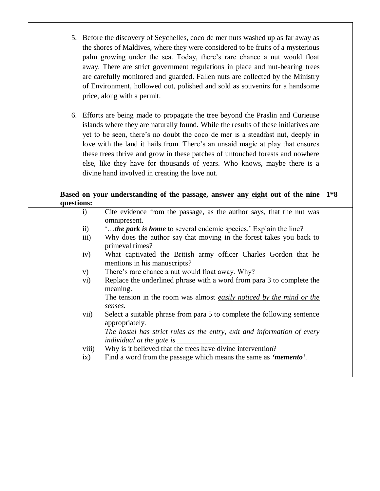|            | 5. Before the discovery of Seychelles, coco de mer nuts washed up as far away as<br>the shores of Maldives, where they were considered to be fruits of a mysterious<br>palm growing under the sea. Today, there's rare chance a nut would float<br>away. There are strict government regulations in place and nut-bearing trees<br>are carefully monitored and guarded. Fallen nuts are collected by the Ministry<br>of Environment, hollowed out, polished and sold as souvenirs for a handsome<br>price, along with a permit.<br>6. Efforts are being made to propagate the tree beyond the Praslin and Curieuse<br>islands where they are naturally found. While the results of these initiatives are<br>yet to be seen, there's no doubt the coco de mer is a steadfast nut, deeply in<br>love with the land it hails from. There's an unsaid magic at play that ensures<br>these trees thrive and grow in these patches of untouched forests and nowhere<br>else, like they have for thousands of years. Who knows, maybe there is a |  |
|------------|-------------------------------------------------------------------------------------------------------------------------------------------------------------------------------------------------------------------------------------------------------------------------------------------------------------------------------------------------------------------------------------------------------------------------------------------------------------------------------------------------------------------------------------------------------------------------------------------------------------------------------------------------------------------------------------------------------------------------------------------------------------------------------------------------------------------------------------------------------------------------------------------------------------------------------------------------------------------------------------------------------------------------------------------|--|
|            | divine hand involved in creating the love nut.                                                                                                                                                                                                                                                                                                                                                                                                                                                                                                                                                                                                                                                                                                                                                                                                                                                                                                                                                                                            |  |
| questions: | Based on your understanding of the passage, answer any eight out of the nine<br>$1*8$                                                                                                                                                                                                                                                                                                                                                                                                                                                                                                                                                                                                                                                                                                                                                                                                                                                                                                                                                     |  |
|            | Cite evidence from the passage, as the author says, that the nut was<br>$\ddot{\mathbf{i}}$<br>omnipresent.                                                                                                                                                                                                                                                                                                                                                                                                                                                                                                                                                                                                                                                                                                                                                                                                                                                                                                                               |  |
|            | "the park is home to several endemic species.' Explain the line?<br>$\overline{ii}$                                                                                                                                                                                                                                                                                                                                                                                                                                                                                                                                                                                                                                                                                                                                                                                                                                                                                                                                                       |  |
|            | iii)<br>Why does the author say that moving in the forest takes you back to<br>primeval times?                                                                                                                                                                                                                                                                                                                                                                                                                                                                                                                                                                                                                                                                                                                                                                                                                                                                                                                                            |  |
|            | What captivated the British army officer Charles Gordon that he<br>iv)<br>mentions in his manuscripts?                                                                                                                                                                                                                                                                                                                                                                                                                                                                                                                                                                                                                                                                                                                                                                                                                                                                                                                                    |  |
|            | There's rare chance a nut would float away. Why?<br>V)                                                                                                                                                                                                                                                                                                                                                                                                                                                                                                                                                                                                                                                                                                                                                                                                                                                                                                                                                                                    |  |
|            | Replace the underlined phrase with a word from para 3 to complete the<br>$\mathbf{vi})$<br>meaning.<br>The tension in the room was almost <i>easily noticed by the mind or the</i>                                                                                                                                                                                                                                                                                                                                                                                                                                                                                                                                                                                                                                                                                                                                                                                                                                                        |  |
|            | <u>senses.</u><br>Select a suitable phrase from para 5 to complete the following sentence<br>vii)<br>appropriately.<br>The hostel has strict rules as the entry, exit and information of every                                                                                                                                                                                                                                                                                                                                                                                                                                                                                                                                                                                                                                                                                                                                                                                                                                            |  |
|            | individual at the gate is _                                                                                                                                                                                                                                                                                                                                                                                                                                                                                                                                                                                                                                                                                                                                                                                                                                                                                                                                                                                                               |  |
|            | Why is it believed that the trees have divine intervention?<br>viii)                                                                                                                                                                                                                                                                                                                                                                                                                                                                                                                                                                                                                                                                                                                                                                                                                                                                                                                                                                      |  |
|            | Find a word from the passage which means the same as 'memento'.<br>ix)                                                                                                                                                                                                                                                                                                                                                                                                                                                                                                                                                                                                                                                                                                                                                                                                                                                                                                                                                                    |  |
|            |                                                                                                                                                                                                                                                                                                                                                                                                                                                                                                                                                                                                                                                                                                                                                                                                                                                                                                                                                                                                                                           |  |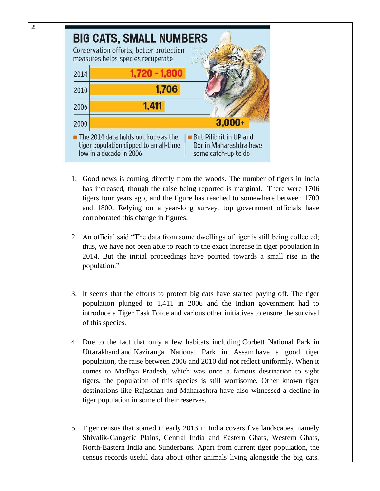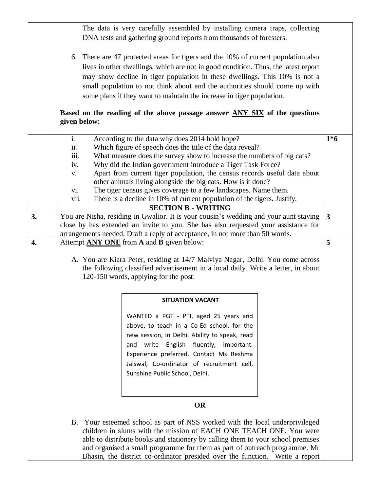|    | The data is very carefully assembled by installing camera traps, collecting<br>DNA tests and gathering ground reports from thousands of foresters.                                                                                                                                                                                                                                                                                                                                                                                                                                                           |              |  |  |  |  |
|----|--------------------------------------------------------------------------------------------------------------------------------------------------------------------------------------------------------------------------------------------------------------------------------------------------------------------------------------------------------------------------------------------------------------------------------------------------------------------------------------------------------------------------------------------------------------------------------------------------------------|--------------|--|--|--|--|
|    | 6. There are 47 protected areas for tigers and the 10% of current population also<br>lives in other dwellings, which are not in good condition. Thus, the latest report<br>may show decline in tiger population in these dwellings. This 10% is not a<br>small population to not think about and the authorities should come up with<br>some plans if they want to maintain the increase in tiger population.                                                                                                                                                                                                |              |  |  |  |  |
|    | Based on the reading of the above passage answer ANY SIX of the questions<br>given below:                                                                                                                                                                                                                                                                                                                                                                                                                                                                                                                    |              |  |  |  |  |
|    | $\mathbf{i}$ .<br>According to the data why does 2014 hold hope?<br>Which figure of speech does the title of the data reveal?<br>ii.<br>iii.<br>What measure does the survey show to increase the numbers of big cats?<br>Why did the Indian government introduce a Tiger Task Force?<br>iv.<br>Apart from current tiger population, the census records useful data about<br>V.<br>other animals living alongside the big cats. How is it done?<br>The tiger census gives coverage to a few landscapes. Name them.<br>vi.<br>There is a decline in 10% of current population of the tigers. Justify.<br>V11. | $1*6$        |  |  |  |  |
| 3. | <b>SECTION B - WRITING</b><br>You are Nisha, residing in Gwalior. It is your cousin's wedding and your aunt staying                                                                                                                                                                                                                                                                                                                                                                                                                                                                                          | $\mathbf{3}$ |  |  |  |  |
|    | close by has extended an invite to you. She has also requested your assistance for                                                                                                                                                                                                                                                                                                                                                                                                                                                                                                                           |              |  |  |  |  |
| 4. | arrangements needed. Draft a reply of acceptance, in not more than 50 words.<br>Attempt <b>ANY ONE</b> from <b>A</b> and <b>B</b> given below:                                                                                                                                                                                                                                                                                                                                                                                                                                                               | 5            |  |  |  |  |
|    | A. You are Kiara Peter, residing at 14/7 Malviya Nagar, Delhi. You come across<br>the following classified advertisement in a local daily. Write a letter, in about<br>120-150 words, applying for the post.                                                                                                                                                                                                                                                                                                                                                                                                 |              |  |  |  |  |
|    | <b>SITUATION VACANT</b>                                                                                                                                                                                                                                                                                                                                                                                                                                                                                                                                                                                      |              |  |  |  |  |
|    | WANTED a PGT - PTI, aged 25 years and<br>above, to teach in a Co-Ed school, for the<br>new session, in Delhi. Ability to speak, read<br>and write English fluently, important.<br>Experience preferred. Contact Ms Reshma<br>Jaiswal, Co-ordinator of recruitment cell,<br>Sunshine Public School, Delhi.                                                                                                                                                                                                                                                                                                    |              |  |  |  |  |
|    | <b>OR</b>                                                                                                                                                                                                                                                                                                                                                                                                                                                                                                                                                                                                    |              |  |  |  |  |
|    | B. Your esteemed school as part of NSS worked with the local underprivileged<br>children in slums with the mission of EACH ONE TEACH ONE. You were<br>able to distribute books and stationery by calling them to your school premises<br>and organised a small programme for them as part of outreach programme. Mr<br>Bhasin, the district co-ordinator presided over the function. Write a report                                                                                                                                                                                                          |              |  |  |  |  |